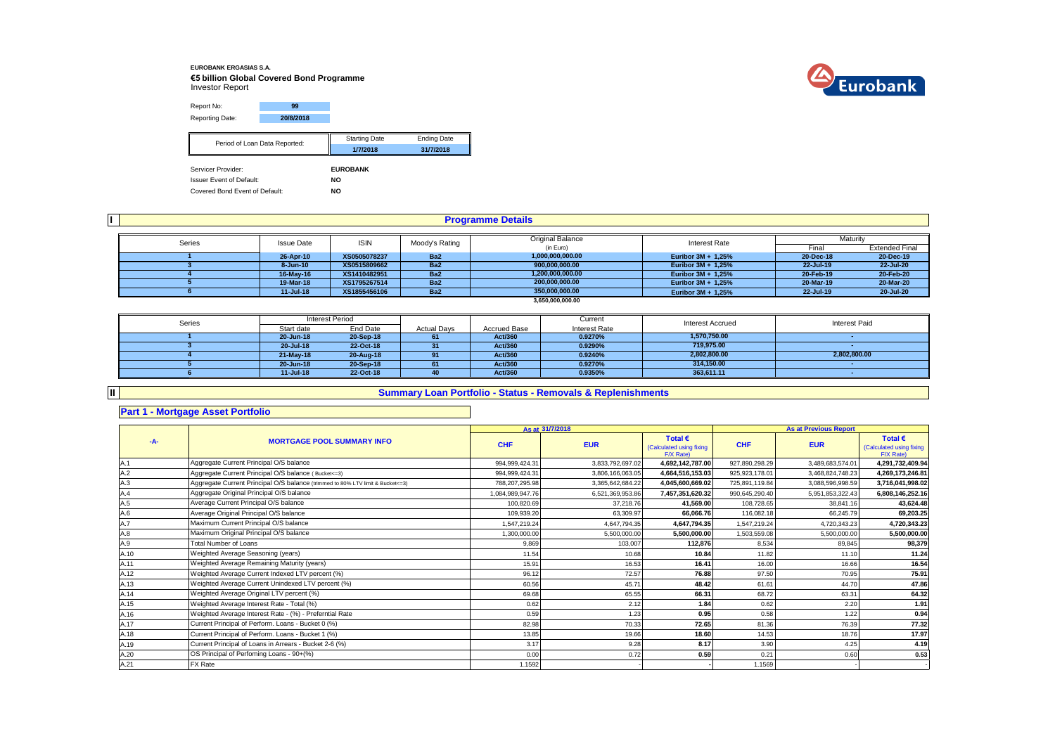# **EUROBANK ERGASIAS S.A. €5 billion Global Covered Bond Programme** Investor Report



Report No: **99**

| <b>Reporting Date:</b>                                | 20/8/2018                     |                       |                    |
|-------------------------------------------------------|-------------------------------|-----------------------|--------------------|
|                                                       | Period of Loan Data Reported: | <b>Starting Date</b>  | <b>Ending Date</b> |
|                                                       |                               | 1/7/2018              | 31/7/2018          |
| Servicer Provider:<br><b>Issuer Event of Default:</b> |                               | <b>EUROBANK</b><br>NO |                    |
| Covered Bond Event of Default:                        |                               | NO                    |                    |

**I**

### **Programme Details**

| Series | <b>Issue Date</b> | <b>ISIN</b>  | Moody's Rating  | <b>Original Balance</b> | Interest Rate        |           | Maturit               |
|--------|-------------------|--------------|-----------------|-------------------------|----------------------|-----------|-----------------------|
|        |                   |              |                 | (in Euro)               |                      | Final     | <b>Extended Final</b> |
|        | 26-Apr-10         | XS0505078237 | Ba <sub>2</sub> | 1,000,000,000.00        | Euribor $3M + 1.25%$ | 20-Dec-18 | 20-Dec-19             |
|        | 8-Jun-10          | XS0515809662 | Ba <sub>2</sub> | 900.000.000.00          | Euribor $3M + 1,25%$ | 22-Jul-19 | 22-Jul-20             |
|        | 16-May-16         | XS1410482951 | Ba <sub>2</sub> | 1,200,000,000.00        | Euribor $3M + 1,25%$ | 20 Feb-19 | 20-Feb-20             |
|        | 19-Mar-18         | XS1795267514 | Ba <sub>2</sub> | 200,000,000.00          | Euribor $3M + 1,25%$ | 20 Mar-19 | 20-Mar-20             |
|        | 11-Jul-18         | XS1855456106 | Ba <sub>2</sub> | 350.000.000.00          | Euribor 3M + 1.25%   | 22-Jul-19 | 20-Jul-20             |
|        |                   |              |                 | 3.650.000.000.00        |                      |           |                       |

| Series |            | <b>Interest Period</b> |                    |                     | Current       | <b>Interest Accrued</b> | Interest Paid |
|--------|------------|------------------------|--------------------|---------------------|---------------|-------------------------|---------------|
|        | Start date | End Date               | <b>Actual Days</b> | <b>Accrued Base</b> | Interest Rate |                         |               |
|        | 20-Jun-18  | 20-Sep-18              |                    | Act/360             | 0.9270%       | 1,570,750.00            |               |
|        | 20 Jul 18  | 22-Oct-18              |                    | Act/360             | 0.9290%       | 719.975.00              |               |
|        | 21-May-18  | 20 Aug 18              | 91                 | Act/360             | 0.9240%       | 2,802,800.00            | 2,802,800.00  |
|        | 20-Jun-18  | 20-Sep-18              | 61                 | Act/360             | 0.9270%       | 314.150.00              |               |
|        | 11-Jul-18  | 22-Oct-18              |                    | Act/360             | 0.9350%       | 363,611.11              |               |

**II**

#### **Summary Loan Portfolio - Status - Removals & Replenishments**

### **Part 1 - Mortgage Asset Portfolio**

|            |                                                                                |                  | As at 31/7/2018  |                                                           |                | <b>As at Previous Report</b> |                                                           |
|------------|--------------------------------------------------------------------------------|------------------|------------------|-----------------------------------------------------------|----------------|------------------------------|-----------------------------------------------------------|
| $-A-$      | <b>MORTGAGE POOL SUMMARY INFO</b>                                              | <b>CHF</b>       | <b>EUR</b>       | Total $\epsilon$<br>(Calculated using fixing<br>F/X Rate) | <b>CHF</b>     | <b>EUR</b>                   | Total $\epsilon$<br>(Calculated using fixing<br>F/X Rate) |
| A.1        | Aggregate Current Principal O/S balance                                        | 994.999.424.31   | 3,833,792,697.02 | 4,692,142,787.00                                          | 927,890,298.29 | 3,489,683,574.01             | 4,291,732,409.94                                          |
| A.2        | Aggregate Current Principal O/S balance (Bucket <= 3)                          | 994.999.424.31   | 3,806,166,063.05 | 4,664,516,153.03                                          | 925.923.178.0  | 3,468,824,748.23             | 4,269,173,246.81                                          |
| A.3        | Aggregate Current Principal O/S balance (trimmed to 80% LTV limit & Bucket<=3) | 788, 207, 295.98 | 3,365,642,684.22 | 4,045,600,669.02                                          | 725,891,119.84 | 3,088,596,998.59             | 3,716,041,998.02                                          |
| A.4        | Aggregate Original Principal O/S balance                                       | 1.084.989.947.76 | 6,521,369,953.86 | 7,457,351,620.32                                          | 990.645.290.40 | 5,951,853,322.43             | 6,808,146,252.16                                          |
| A.5        | Average Current Principal O/S balance                                          | 100,820.69       | 37.218.76        | 41,569.00                                                 | 108,728.65     | 38.841.16                    | 43,624.48                                                 |
| A.6        | Average Original Principal O/S balance                                         | 109.939.20       | 63.309.97        | 66,066.76                                                 | 116,082.18     | 66.245.79                    | 69,203.25                                                 |
| <b>A.7</b> | Maximum Current Principal O/S balance                                          | 1.547.219.24     | 4.647.794.35     | 4,647,794.35                                              | 1.547.219.24   | 4,720,343.23                 | 4,720,343.23                                              |
| A.8        | Maximum Original Principal O/S balance                                         | 1,300,000.00     | 5,500,000.00     | 5,500,000.00                                              | 1,503,559.08   | 5,500,000.00                 | 5,500,000.00                                              |
| A.9        | <b>Total Number of Loans</b>                                                   | 9.869            | 103,007          | 112,876                                                   | 8,534          | 89,845                       | 98,379                                                    |
| A.10       | Weighted Average Seasoning (years)                                             | 11.54            | 10.68            | 10.84                                                     | 11.82          | 11.10                        | 11.24                                                     |
| A.11       | Weighted Average Remaining Maturity (years)                                    | 15.91            | 16.53            | 16.41                                                     | 16.00          | 16.66                        | 16.54                                                     |
| A.12       | Weighted Average Current Indexed LTV percent (%)                               | 96.12            | 72.57            | 76.88                                                     | 97.50          | 70.95                        | 75.91                                                     |
| A.13       | Weighted Average Current Unindexed LTV percent (%)                             | 60.56            | 45.71            | 48.42                                                     | 61.61          | 44.70                        | 47.86                                                     |
| A.14       | Weighted Average Original LTV percent (%)                                      | 69.68            | 65.55            | 66.31                                                     | 68.72          | 63.31                        | 64.32                                                     |
| A.15       | Weighted Average Interest Rate - Total (%)                                     | 0.62             | 2.12             | 1.84                                                      | 0.62           | 2.20                         | 1.91                                                      |
| A.16       | Weighted Average Interest Rate - (%) - Preferntial Rate                        | 0.59             | 1.23             | 0.95                                                      | 0.58           | 1.22                         | 0.94                                                      |
| A.17       | Current Principal of Perform. Loans - Bucket 0 (%)                             | 82.98            | 70.33            | 72.65                                                     | 81.36          | 76.39                        | 77.32                                                     |
| A.18       | Current Principal of Perform. Loans - Bucket 1 (%)                             | 13.85            | 19.66            | 18.60                                                     | 14.53          | 18.76                        | 17.97                                                     |
| A.19       | Current Principal of Loans in Arrears - Bucket 2-6 (%)                         | 3.17             | 9.28             | 8.17                                                      | 3.90           | 4.25                         | 4.19                                                      |
| A.20       | OS Principal of Perfoming Loans - 90+(%)                                       | 0.00             | 0.72             | 0.59                                                      | 0.21           | 0.60                         | 0.53                                                      |
| A.21       | FX Rate                                                                        | 1.1592           |                  |                                                           | 1.1569         |                              |                                                           |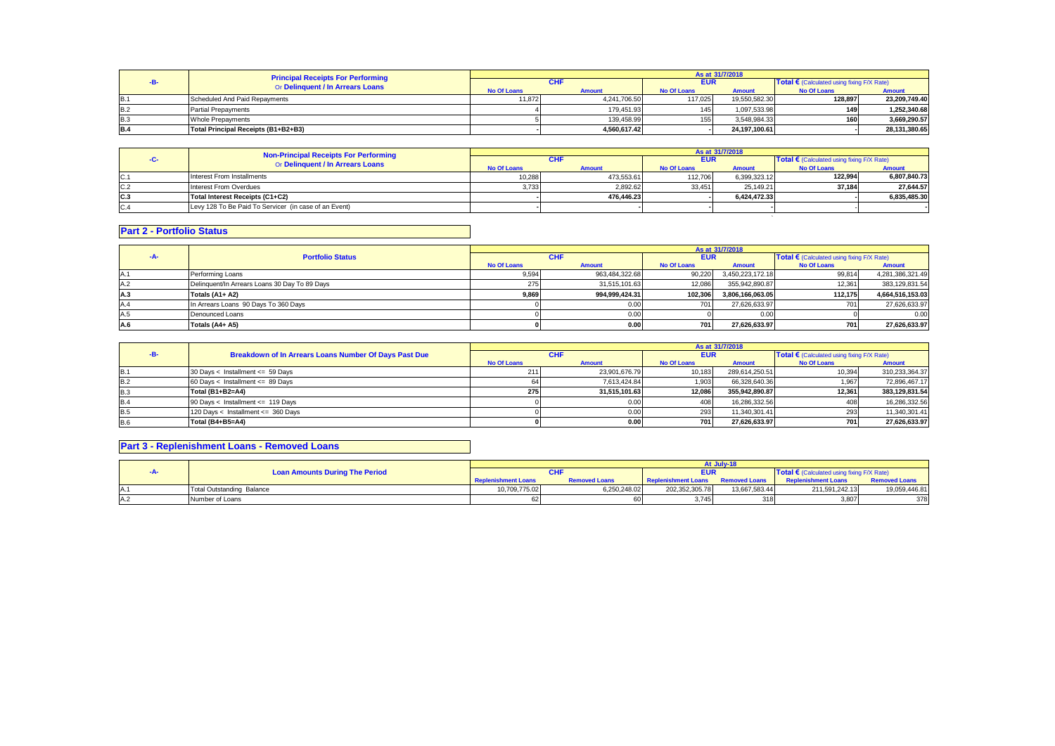|            | <b>Principal Receipts For Performing</b> | As at 31/7/2018 |              |             |               |                                              |               |  |
|------------|------------------------------------------|-----------------|--------------|-------------|---------------|----------------------------------------------|---------------|--|
|            | Or Delinquent / In Arrears Loans         |                 | <b>CHF</b>   | <b>EUR</b>  |               | Total € (Calculated using fixing $F/X$ Rate) |               |  |
|            |                                          | No Of Loans     | Amount       | No Of Loans | <b>Amount</b> | No Of Loans                                  | <b>Amount</b> |  |
| <b>B.1</b> | Scheduled And Paid Repayments            | 11.872          | 4.241.706.50 | 117.025     | 19.550.582.30 | 128.897                                      | 23.209.749.40 |  |
| <b>B.2</b> | <b>Partial Prepayments</b>               |                 | 179,451.93   | 145         | 1,097,533.98  | 149                                          | 1.252.340.68  |  |
| <b>B.3</b> | Whole Prepayments                        |                 | 139.458.99   | 155         | 3.548.984.33  | 160                                          | 3.669.290.57  |  |
| <b>B.4</b> | Total Principal Receipts (B1+B2+B3)      |                 | 4,560,617.42 |             | 24,197,100.61 |                                              | 28,131,380.65 |  |

|     | <b>Non-Principal Receipts For Performing</b>          |                    |               |                    | As at 31/7/2018 |                                            |               |
|-----|-------------------------------------------------------|--------------------|---------------|--------------------|-----------------|--------------------------------------------|---------------|
|     | Or Delinquent / In Arrears Loans                      |                    | <b>CHF</b>    | <b>EUR</b>         |                 | Total € (Calculated using fixing F/X Rate) |               |
|     |                                                       | <b>No Of Loans</b> | <b>Amount</b> | <b>No Of Loans</b> | <b>Amount</b>   | <b>No Of Loans</b>                         | <b>Amount</b> |
| C.1 | Interest From Installments                            | 10,288             | 473.553.61    | 112,706            | 6,399,323.12    | 122.994                                    | 6,807,840.73  |
| C.2 | Interest From Overdues                                | 3,733              | 2.892.62      | 33.451             | 25.149.21       | 37.184                                     | 27.644.57     |
| C.3 | Total Interest Receipts (C1+C2)                       |                    | 476.446.23    |                    | 6.424.472.33    |                                            | 6.835.485.30  |
| C.4 | Levy 128 To Be Paid To Servicer (in case of an Event) |                    |               |                    |                 |                                            |               |
|     |                                                       |                    |               |                    |                 |                                            |               |

### **Part 2 - Portfolio Status**

|     |                                               |                    |                |                    | As at 31/7/2018  |                                                     |                  |
|-----|-----------------------------------------------|--------------------|----------------|--------------------|------------------|-----------------------------------------------------|------------------|
| -A- | <b>Portfolio Status</b>                       |                    | <b>CHF</b>     | <b>EUR</b>         |                  | Total $\epsilon$ (Calculated using fixing F/X Rate) |                  |
|     |                                               | <b>No Of Loans</b> | Amount         | <b>No Of Loans</b> | <b>Amount</b>    | <b>No Of Loans</b>                                  | <b>Amount</b>    |
| A.1 | Performing Loans                              | 9,594              | 963.484.322.68 | 90.220             | 3,450,223,172.18 | 99.814                                              | 4,281,386,321.49 |
| A.2 | Delinquent/In Arrears Loans 30 Day To 89 Days | 275                | 31,515,101.63  | 12.086             | 355,942,890.87   | 12,361                                              | 383,129,831.54   |
| A.3 | Totals (A1+ A2)                               | 9,869              | 994.999.424.31 | 102.306            | 3,806,166,063.05 | 112.175                                             | 4,664,516,153.03 |
| A.4 | In Arrears Loans 90 Days To 360 Days          |                    | 0.00           | 701                | 27.626.633.97    | 701                                                 | 27,626,633.97    |
| A.5 | Denounced Loans                               |                    | 0.00           |                    | 0.00             |                                                     | 0.00             |
| A.6 | Totals (A4+ A5)                               |                    | 0.00           | 701                | 27,626,633.97    | 701                                                 | 27,626,633.97    |

|            |                                                       |                    |               |                    | As at 31/7/2018 |                                                     |                |
|------------|-------------------------------------------------------|--------------------|---------------|--------------------|-----------------|-----------------------------------------------------|----------------|
|            | Breakdown of In Arrears Loans Number Of Days Past Due |                    | <b>CHF</b>    | <b>EUR</b>         |                 | Total $\epsilon$ (Calculated using fixing F/X Rate) |                |
|            |                                                       | <b>No Of Loans</b> | <b>Amount</b> | <b>No Of Loans</b> | <b>Amount</b>   | <b>No Of Loans</b>                                  | <b>Amount</b>  |
| IB.1       | $30$ Days < Installment <= 59 Days                    | 211                | 23,901,676.79 | 10.183             | 289.614.250.51  | 10.394                                              | 310,233,364.37 |
| <b>B.2</b> | 60 Days < Installment <= 89 Days                      |                    | 7.613.424.84  | 1.903              | 66.328.640.36   | 1.967                                               | 72,896,467.17  |
| <b>B.3</b> | Total (B1+B2=A4)                                      | 275                | 31.515.101.63 | 12.086             | 355.942.890.87  | 12.361                                              | 383,129,831.54 |
| <b>B.4</b> | 90 Days < Installment <= 119 Days                     |                    | 0.00          | 408                | 16.286.332.56   | 408                                                 | 16,286,332.56  |
| <b>B.5</b> | 120 Days < Installment <= 360 Days                    |                    | 0.00          | 293                | 11.340.301.41   | 293                                                 | 11.340.301.41  |
| <b>B.6</b> | Total (B4+B5=A4)                                      |                    | 0.00          | 701                | 27,626,633.97   | 701                                                 | 27,626,633.97  |

## **Part 3 - Replenishment Loans - Removed Loans**

|             |                                       |                 |                      |                | At July-18           |                                                     |                      |
|-------------|---------------------------------------|-----------------|----------------------|----------------|----------------------|-----------------------------------------------------|----------------------|
|             | <b>Loan Amounts During The Period</b> |                 | <b>CHF</b>           | <b>EUR</b>     |                      | Total $\epsilon$ (Calculated using fixing F/X Rate) |                      |
|             |                                       | enishment Loans | <b>Removed Loans</b> |                | <b>Removed Loans</b> | <b>Replenishment Loans</b>                          | <b>Removed Loans</b> |
| IA.         | <b>Total Outstanding Balance</b>      | 10,709,775.02   | 6,250,248.02         | 202,352,305.78 | 13,667,583.44        | 211.591.242.13                                      | 19,059,446.81        |
| <b>IA.2</b> | Number of Loans                       |                 |                      | 3,745          | 318                  | 3,807                                               | 378                  |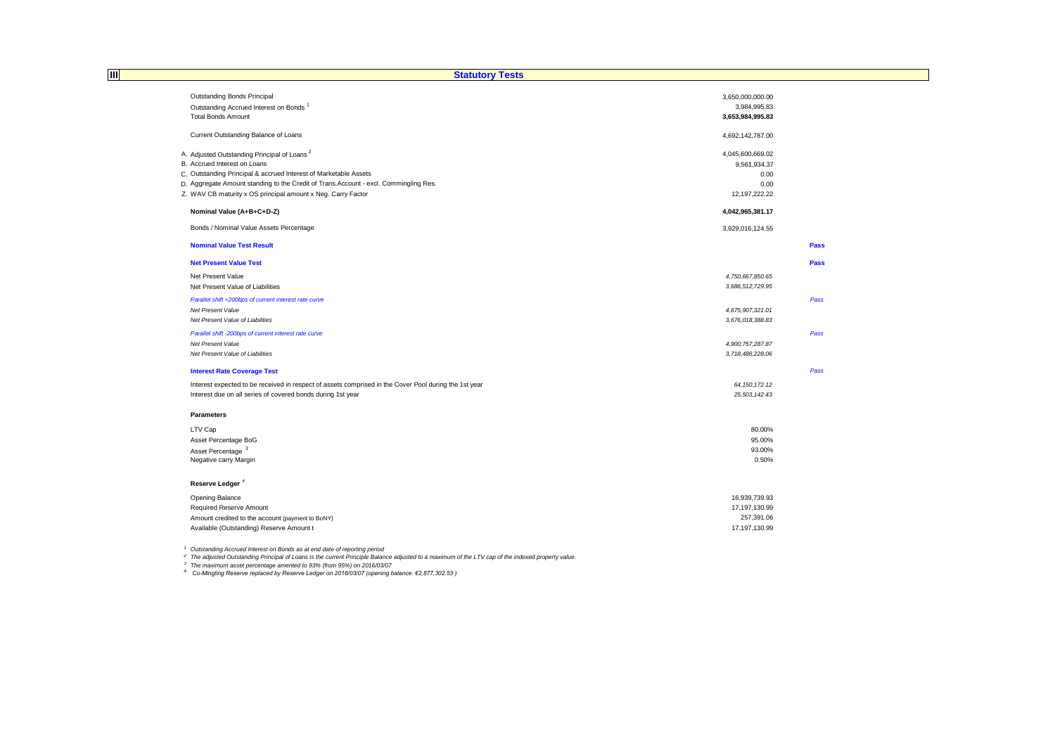| 画<br><b>Statutory Tests</b>                                                                           |                  |      |
|-------------------------------------------------------------------------------------------------------|------------------|------|
|                                                                                                       |                  |      |
| <b>Outstanding Bonds Principal</b>                                                                    | 3,650,000,000.00 |      |
| Outstanding Accrued Interest on Bonds <sup>1</sup>                                                    | 3,984,995.83     |      |
| <b>Total Bonds Amount</b>                                                                             | 3,653,984,995.83 |      |
| Current Outstanding Balance of Loans                                                                  | 4,692,142,787.00 |      |
| A. Adjusted Outstanding Principal of Loans <sup>2</sup>                                               | 4,045,600,669.02 |      |
| B. Accrued Interest on Loans                                                                          | 9,561,934.37     |      |
| C. Outstanding Principal & accrued Interest of Marketable Assets                                      | 0.00             |      |
| D. Aggregate Amount standing to the Credit of Trans.Account - excl. Commingling Res.                  | 0.00             |      |
| Z. WAV CB maturity x OS principal amount x Neg. Carry Factor                                          | 12,197,222.22    |      |
| Nominal Value (A+B+C+D-Z)                                                                             | 4,042,965,381.17 |      |
|                                                                                                       |                  |      |
| Bonds / Nominal Value Assets Percentage                                                               | 3,929,016,124.55 |      |
| <b>Nominal Value Test Result</b>                                                                      |                  | Pass |
| <b>Net Present Value Test</b>                                                                         |                  | Pass |
| Net Present Value                                                                                     | 4,750,667,850.65 |      |
| Net Present Value of Liabilities                                                                      | 3,686,512,729.95 |      |
| Parallel shift +200bps of current interest rate curve                                                 |                  | Pass |
| <b>Net Present Value</b>                                                                              | 4,675,907,321.01 |      |
| Net Present Value of Liabilities                                                                      | 3,676,018,388.83 |      |
| Parallel shift -200bps of current interest rate curve                                                 |                  | Pass |
| Net Present Value                                                                                     | 4,900,757,287.87 |      |
| Net Present Value of Liabilities                                                                      | 3,718,486,228.06 |      |
| <b>Interest Rate Coverage Test</b>                                                                    |                  | Pass |
| Interest expected to be received in respect of assets comprised in the Cover Pool during the 1st year | 64, 150, 172. 12 |      |
| Interest due on all series of covered bonds during 1st year                                           | 25,503,142.43    |      |
| <b>Parameters</b>                                                                                     |                  |      |
| LTV Cap                                                                                               | 80.00%           |      |
| Asset Percentage BoG                                                                                  | 95.00%           |      |
| Asset Percentage <sup>3</sup>                                                                         | 93.00%           |      |
| Negative carry Margin                                                                                 | 0.50%            |      |
|                                                                                                       |                  |      |
| Reserve Ledger <sup>4</sup>                                                                           |                  |      |
| Opening Balance                                                                                       | 16,939,739.93    |      |
| Required Reserve Amount                                                                               | 17,197,130.99    |      |
| Amount credited to the account (payment to BoNY)                                                      | 257,391.06       |      |
| Available (Outstanding) Reserve Amount t                                                              | 17.197.130.99    |      |

<sup>1</sup> Outstanding Accrued Interest on Bonds as at end date of reporting period<br><sup>2</sup> The adjusted Outstanding Principal of Loans is the current Principle Balance adjusted to a maximum of the LTV cap of the indexed property val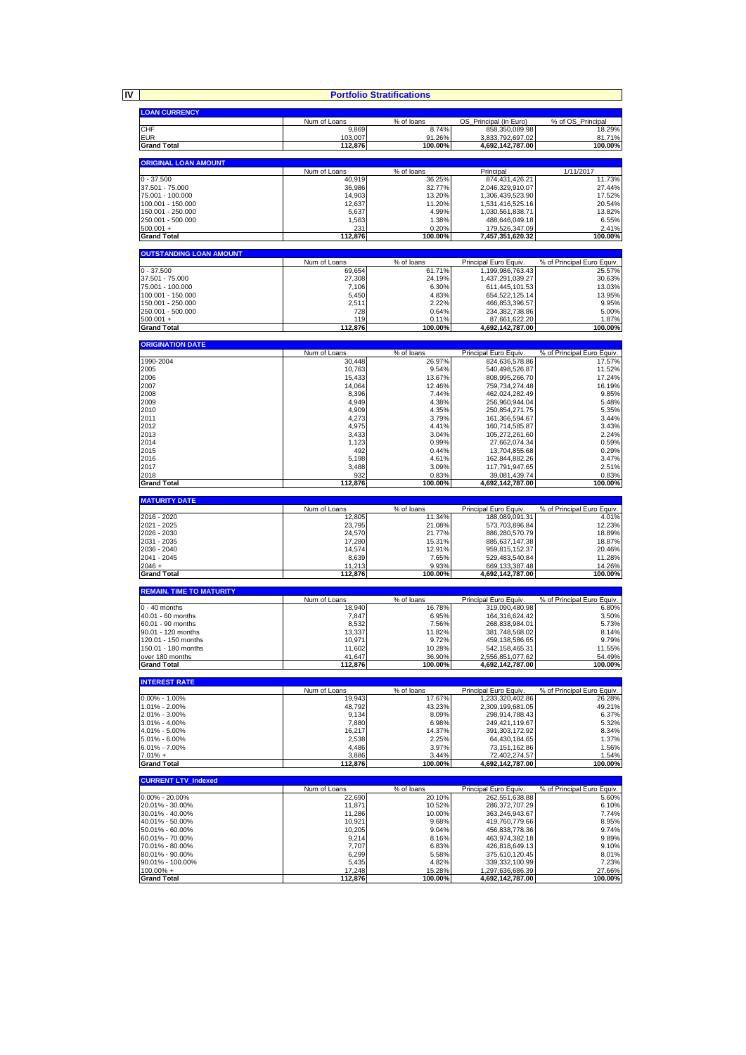**IV**

|                                         |                        | <b>Portfolio Stratifications</b> |                                           |                            |
|-----------------------------------------|------------------------|----------------------------------|-------------------------------------------|----------------------------|
| <b>LOAN CURRENCY</b>                    |                        |                                  |                                           |                            |
|                                         | Num of Loans           | $\overline{\%}$ of loans         | OS_Principal (in Euro)                    | % of OS_Principal          |
| CHF                                     | 9,869                  | 8.74%                            | 858,350,089.98                            | 18.29%                     |
| <b>EUR</b><br><b>Grand Total</b>        | 103,007<br>112,876     | 91.26%<br>100.00%                | 3,833,792,697.02                          | 81.71%<br>100.00%          |
|                                         |                        |                                  | 4,692,142,787.00                          |                            |
| <b>ORIGINAL LOAN AMOUNT</b>             |                        |                                  |                                           |                            |
| $0 - 37.500$                            | Num of Loans<br>40,919 | % of loans<br>36.25%             | Principal<br>874,431,426.21               | 1/11/2017<br>11.73%        |
| 37.501 - 75.000                         | 36,986                 | 32.77%                           | 2,046,329,910.07                          | 27.44%                     |
| 75.001 - 100.000                        | 14,903                 | 13.20%                           | 1,306,439,523.90                          | 17.52%                     |
| 100.001 - 150.000<br>150.001 - 250.000  | 12,637                 | 11.20%<br>4.99%                  | 1,531,416,525.16<br>1,030,561,838.71      | 20.54%<br>13.82%           |
| 250.001 - 500.000                       | 5,637<br>1,563         | 1.38%                            | 488,646,049.18                            | 6.55%                      |
| $500.001 +$                             | 231                    | 0.20%                            | 179,526,347.09                            | 2.41%                      |
| <b>Grand Total</b>                      | 112,876                | 100.00%                          | 7,457,351,620.32                          | 100.00%                    |
| <b>OUTSTANDING LOAN AMOUNT</b>          |                        |                                  |                                           |                            |
|                                         | Num of Loans           | % of loans                       | Principal Euro Equiv                      | % of Principal Euro Equiv. |
| $0 - 37.500$<br>37.501 - 75.000         | 69,654<br>27,308       | 61.71%<br>24.19%                 | 1,199,986,763.43                          | 25.57%                     |
| 75.001 - 100.000                        | 7,106                  | 6.30%                            | 1,437,291,039.27<br>611,445,101.53        | 30.63%<br>13.03%           |
| 100.001 - 150.000                       | 5,450                  | 4.83%                            | 654,522,125.14                            | 13.95%                     |
| 150.001 - 250.000                       | 2,511                  | 2.22%                            | 466,853,396.57                            | 9.95%                      |
| 250.001 - 500.000<br>$500.001 +$        | 728<br>119             | 0.64%<br>0.11%                   | 234, 382, 738.86<br>87,661,622.20         | 5.00%<br>1.87%             |
| <b>Grand Total</b>                      | 112,876                | 100.00%                          | 4,692,142,787.00                          | 100.00%                    |
|                                         |                        |                                  |                                           |                            |
| <b>ORIGINATION DATE</b>                 | Num of Loans           | % of loans                       | Principal Euro Equiv.                     | % of Principal Euro Equiv. |
| 1990-2004                               | 30.448                 | 26.97%                           | 824,636,578.86                            | 17.57%                     |
| 2005<br>2006                            | 10,763<br>15,433       | 9.54%<br>13.67%                  | 540,498,526.87                            | 11.52%                     |
| 2007                                    | 14,064                 | 12.46%                           | 808,995,266.70<br>759,734,274.48          | 17.24%<br>16.19%           |
| 2008                                    | 8,396                  | 7.44%                            | 462,024,282.49                            | 9.85%                      |
| 2009                                    | 4,949                  | 4.38%                            | 256,960,944.04                            | 5.48%                      |
| 2010<br>2011                            | 4,909<br>4,273         | 4.35%<br>3.79%                   | 250,854,271.75<br>161,366,594.67          | 5.35%<br>3.44%             |
| 2012                                    | 4,975                  | 4.41%                            | 160,714,585.87                            | 3.43%                      |
| 2013<br>2014                            | 3,433                  | 3.04%                            | 105.272.261.60                            | 2.24%                      |
| 2015                                    | 1,123<br>492           | 0.99%<br>0.44%                   | 27,662,074.34<br>13,704,855.68            | 0.59%<br>0.29%             |
| 2016                                    | 5,198                  | 4.61%                            | 162,844,882.26                            | 3.47%                      |
| 2017                                    | 3,488<br>932           | 3.09%<br>0.83%                   | 117,791,947.65                            | 2.51%<br>0.83%             |
| 2018<br><b>Grand Total</b>              | 112,876                | 100.00%                          | 39,081,439.74                             | 100.00%                    |
|                                         |                        |                                  | 4,692,142,787.00                          |                            |
|                                         |                        |                                  |                                           |                            |
| <b>MATURITY DATE</b>                    | Num of Loans           | $%$ of loans                     | Principal Euro Equiv                      | % of Principal Euro Equiv. |
| 2016 - 2020                             | 12,805                 | 11.34%                           | 188,089,091.31                            | 4.01%                      |
| 2021 - 2025                             | 23,795                 | 21.08%                           | 573,703,896.84                            | 12.23%                     |
| 2026 - 2030<br>2031 - 2035              | 24,570<br>17,280       | 21.77%<br>15.31%                 | 886,280,570.79<br>885,637,147.38          | 18.89%<br>18.87%           |
| 2036 - 2040                             | 14,574                 | 12.91%                           | 959,815,152.37                            | 20.46%                     |
| 2041 - 2045<br>2046+                    | 8,639<br>11,213        | 7.65%<br>9.93%                   | 529,483,540.84<br>669,133,387.48          | 11.28%<br>14.26%           |
| <b>Grand Total</b>                      | 112,876                | 100.00%                          | 4,692,142,787.00                          | 100.00%                    |
|                                         |                        |                                  |                                           |                            |
| <b>REMAIN. TIME TO MATURITY</b>         | Num of Loans           | % of loans                       | Principal Euro Equiv.                     | % of Principal Euro Equiv. |
| $0 - 40$ months                         | 18,940                 | 16.78%                           | 319.090.480.98                            | 6.80%                      |
| 40.01 - 60 months                       | 7,847                  | 6.95%                            | 164,316,624.42                            | 3.50%                      |
| 60.01 - 90 months<br>90.01 - 120 months | 8,532<br>13,337        | 7.56%<br>11.82%                  | 268,838,984.01<br>381,748,568.02          | 5.73%<br>8.14%             |
| 120.01 - 150 months                     | 10,971                 | 9.72%                            | 459,138,586.65                            | 9.79%                      |
| 150.01 - 180 months                     | 11,602<br>41.647       | 10.28%<br>36.90%                 | 542, 158, 465. 31                         | 11.55%                     |
| over 180 months<br><b>Grand Total</b>   | 112,876                | 100.00%                          | 2,556,851,077.62<br>4,692,142,787.00      | 100.00%                    |
|                                         |                        |                                  |                                           |                            |
| <b>INTEREST RATE</b>                    | Num of Loans           | $\overline{\%}$ of loans         |                                           | % of Principal Euro Equiv. |
| $0.00\% - 1.00\%$                       | 19,943                 | 17.67%                           | Principal Euro Equiv.<br>1,233,320,402.86 | 26.28%                     |
| 1.01% - 2.00%                           | 48,792                 | 43.23%                           | 2,309,199,681.05                          | 49.21%                     |
| 2.01% - 3.00%                           | 9,134                  | 8.09%                            | 298,914,788.43                            | 6.37%                      |
| 3.01% - 4.00%<br>4.01% - 5.00%          | 7,880<br>16,217        | 6.98%<br>14.37%                  | 249,421,119.67<br>391,303,172.92          | 5.32%<br>8.34%             |
| 5.01% - 6.00%                           | 2,538                  | 2.25%                            | 64,430,184.65                             | 1.37%                      |
| 6.01% - 7.00%<br>$7.01% +$              | 4,486<br>3,886         | 3.97%<br>3.44%                   | 73, 151, 162.86<br>72,402,274.57          | 1.56%<br>1.54%             |
| <b>Grand Total</b>                      | 112,876                | 100.00%                          | 4,692,142,787.00                          | 100.00%                    |
|                                         |                        |                                  |                                           |                            |
| <b>CURRENT LTV_Indexed</b>              | Num of Loans           | % of loans                       | Principal Euro Equiv.                     | % of Principal Euro Equiv. |
| $0.00\% - 20.00\%$                      | 22,690                 | 20.10%                           | 262,551,638.88                            | 5.60%                      |
| 20.01% - 30.00%                         | 11,871                 | 10.52%                           | 286, 372, 707. 29                         | 6.10%                      |
| 30.01% - 40.00%<br>40.01% - 50.00%      | 11,286<br>10,921       | 10.00%<br>9.68%                  | 363,246,943.67<br>419,760,779.66          | 7.74%<br>8.95%             |
| 50.01% - 60.00%                         | 10,205                 | 9.04%                            | 456,838,778.36                            | 54.49%<br>9.74%            |
| 60.01% - 70.00%                         | 9,214                  | 8.16%                            | 463,974,382.18                            | 9.89%                      |
| 70.01% - 80.00%<br>80.01% - 90.00%      | 7,707<br>6,299         | 6.83%<br>5.58%                   | 426,818,649.13<br>375,610,120.45          | 9.10%<br>8.01%             |
| 90.01% - 100.00%<br>$100.00\% +$        | 5,435<br>17,248        | 4.82%<br>15.28%                  | 339, 332, 100.99<br>1,297,636,686.39      | 7.23%<br>27.66%            |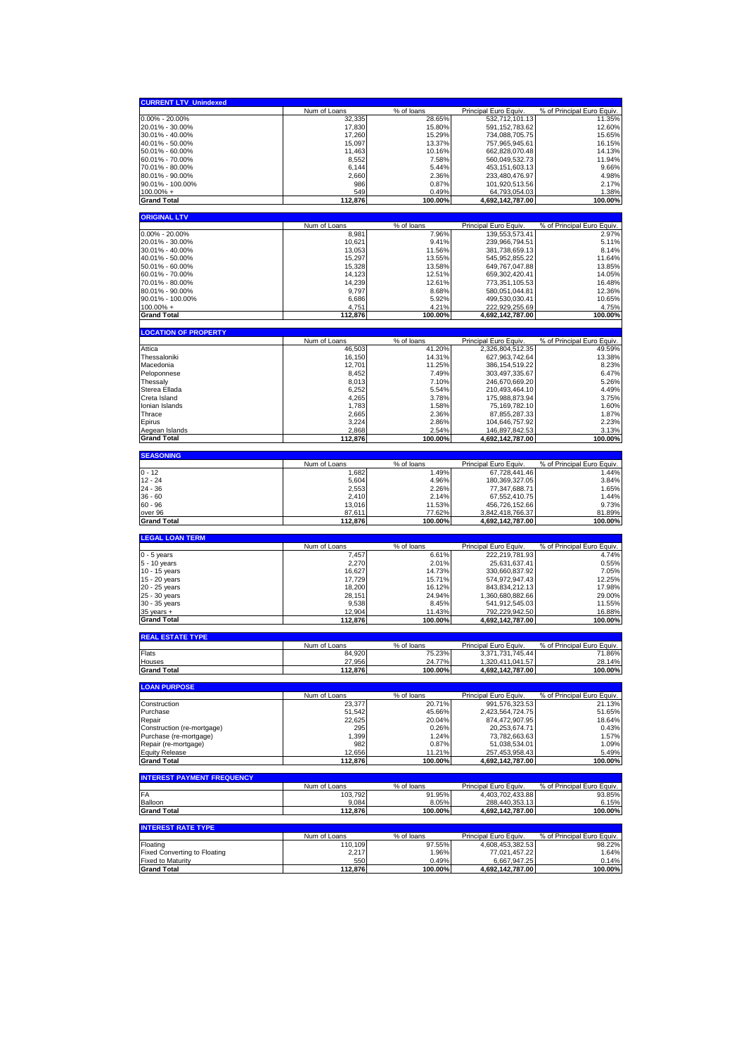| <b>CURRENT LTV Unindexed</b>                   |                          |                        |                                           |                                      |
|------------------------------------------------|--------------------------|------------------------|-------------------------------------------|--------------------------------------|
|                                                | Num of Loans             | % of loans             | Principal Euro Equiv.                     | % of Principal Euro Equiv.           |
| $0.00\% - 20.00\%$                             | 32,335                   | 28.65%                 | 532,712,101.13                            | 11.35%                               |
| 20.01% - 30.00%                                | 17,830                   | 15.80%                 | 591, 152, 783. 62                         | 12.60%                               |
| 30.01% - 40.00%                                | 17,260                   | 15.29%                 | 734,088,705.75                            | 15.65%                               |
| 40.01% - 50.00%                                | 15,097                   | 13.37%                 | 757,965,945.61                            | 16.15%                               |
| 50.01% - 60.00%<br>60.01% - 70.00%             | 11,463<br>8,552          | 10.16%<br>7.58%        | 662,828,070.48<br>560.049.532.73          | 14.13%<br>11.94%                     |
| 70.01% - 80.00%                                | 6,144                    | 5.44%                  | 453, 151, 603. 13                         | 9.66%                                |
| 80.01% - 90.00%                                | 2,660                    | 2.36%                  | 233,480,476.97                            | 4.98%                                |
| 90.01% - 100.00%                               | 986                      | 0.87%                  | 101,920,513.56                            | 2.17%                                |
| $100.00\% +$                                   | 549                      | 0.49%                  | 64,793,054.03                             | 1.38%                                |
| <b>Grand Total</b>                             | 112,876                  | 100.00%                | 4,692,142,787.00                          | 100.00%                              |
|                                                |                          |                        |                                           |                                      |
| <b>ORIGINAL LTV</b>                            | Num of Loans             | % of loans             | Principal Euro Equiv                      | % of Principal Euro Equiv.           |
| $0.00\% - 20.00\%$                             | 8,981                    | 7.96%                  | 139,553,573.41                            | 2.97%                                |
| 20.01% - 30.00%                                | 10,621                   | 9.41%                  | 239,966,794.51                            | 5.11%                                |
| 30.01% - 40.00%                                | 13,053                   | 11.56%                 | 381,738,659.13                            | 8.14%                                |
| 40.01% - 50.00%                                | 15,297                   | 13.55%                 | 545, 952, 855.22                          | 11.64%                               |
| 50.01% - 60.00%                                | 15,328                   | 13.58%                 | 649,767,047.88                            | 13.85%                               |
| 60.01% - 70.00%                                | 14,123                   | 12.51%                 | 659,302,420.41                            | 14.05%                               |
| 70.01% - 80.00%                                | 14,239                   | 12.61%                 | 773,351,105.53                            | 16.48%                               |
| 80.01% - 90.00%<br>90.01% - 100.00%            | 9,797<br>6,686           | 8.68%<br>5.92%         | 580,051,044.81<br>499,530,030.41          | 12.36%<br>10.65%                     |
| 100.00% +                                      | 4,751                    | 4.21%                  | 222,929,255.69                            | 4.75%                                |
| <b>Grand Total</b>                             | 112,876                  | 100.00%                | 4,692,142,787.00                          | 100.00%                              |
|                                                |                          |                        |                                           |                                      |
| <b>LOCATION OF PROPERTY</b>                    |                          |                        |                                           |                                      |
|                                                | Num of Loans             | % of loans             | Principal Euro Equiv<br>2,326,804,512.35  | % of Principal Euro Equiv.           |
| Attica<br>Thessaloniki                         | 46,503<br>16,150         | 41.20%<br>14.31%       | 627,963,742.64                            | 49.59%<br>13.38%                     |
| Macedonia                                      | 12,701                   | 11.25%                 | 386, 154, 519.22                          | 8.23%                                |
| Peloponnese                                    | 8,452                    | 7.49%                  | 303,497,335.67                            | 6.47%                                |
| Thessaly                                       | 8,013                    | 7.10%                  | 246,670,669.20                            | 5.26%                                |
| Sterea Ellada                                  | 6,252                    | 5.54%                  | 210,493,464.10                            | 4.49%                                |
| Creta Island                                   | 4,265                    | 3.78%                  | 175,988,873.94                            | 3.75%                                |
| Ionian Islands                                 | 1,783                    | 1.58%                  | 75, 169, 782. 10                          | 1.60%                                |
| Thrace                                         | 2,665                    | 2.36%                  | 87,855,287.33                             | 1.87%                                |
| Epirus                                         | 3,224                    | 2.86%                  | 104,646,757.92                            | 2.23%                                |
| Aegean Islands<br><b>Grand Total</b>           | 2,868<br>112,876         | 2.54%<br>100.00%       | 146,897,842.53<br>4,692,142,787.00        | 3.13%<br>100.00%                     |
|                                                |                          |                        |                                           |                                      |
| <b>SEASONING</b>                               |                          |                        |                                           |                                      |
|                                                | Num of Loans             | % of loans             | Principal Euro Equiv.                     | % of Principal Euro Equiv.           |
| $0 - 12$<br>$12 - 24$                          | 1,682<br>5,604           | 1.49%<br>4.96%         | 67,728,441.46<br>180,369,327.05           | 1.44%<br>3.84%                       |
| $24 - 36$                                      | 2,553                    | 2.26%                  | 77,347,688.71                             | 1.65%                                |
| $36 - 60$                                      | 2,410                    | 2.14%                  | 67,552,410.75                             | 1.44%                                |
| $60 - 96$                                      | 13,016                   | 11.53%                 | 456,726,152.66                            | 9.73%                                |
| over 96                                        | 87,611                   | 77.62%                 | 3,842,418,766.37                          | 81.89%                               |
|                                                |                          |                        |                                           |                                      |
| <b>Grand Total</b>                             | 112,876                  | 100.00%                | 4,692,142,787.00                          | 100.00%                              |
|                                                |                          |                        |                                           |                                      |
| <b>LEGAL LOAN TERM</b>                         | Num of Loans             | % of loans             | Principal Euro Equiv.                     |                                      |
| $0 - 5$ years                                  | 7,457                    | 6.61%                  | 222,219,781.93                            | % of Principal Euro Equiv.<br>4.74%  |
| 5 - 10 years                                   | 2,270                    | 2.01%                  | 25,631,637.41                             | 0.55%                                |
| 10 - 15 years                                  | 16,627                   | 14.73%                 | 330,660,837.92                            | 7.05%                                |
| 15 - 20 years                                  | 17,729                   | 15.71%                 | 574,972,947.43                            | 12.25%                               |
| 20 - 25 years                                  | 18,200                   | 16.12%                 | 843,834,212.13                            | 17.98%                               |
| 25 - 30 years                                  | 28,151                   | 24.94%                 | 1,360,680,882.66                          | 29.00%                               |
| 30 - 35 years                                  | 9,538                    | 8.45%                  | 541,912,545.03                            | 11.55%                               |
| $35$ years $+$<br><b>Grand Total</b>           | 12,904<br><u>112,876</u> | 11.43%<br>100.00%      | 792,229,942.50<br>4,692,142,787.00        | 16.88%<br>100.00%                    |
|                                                |                          |                        |                                           |                                      |
| <b>REAL ESTATE TYPE</b>                        |                          |                        |                                           |                                      |
| Flats                                          | Num of Loans<br>84,920   | $%$ of loans<br>75.23% | Principal Euro Equiv.<br>3,371,731,745.44 | % of Principal Euro Equiv.<br>71.86% |
| Houses                                         | 27,956                   | 24.77%                 | 1,320,411,041.57                          | 28.14%                               |
| <b>Grand Total</b>                             | 112,876                  | 100.00%                | 4,692,142,787.00                          | 100.00%                              |
|                                                |                          |                        |                                           |                                      |
| <b>LOAN PURPOSE</b>                            | Num of Loans             | % of loans             | Principal Euro Equiv.                     | % of Principal Euro Equiv.           |
| Construction                                   | 23,377                   | 20.71%                 | 991,576,323.53                            | 21.13%                               |
| Purchase                                       | 51,542                   | 45.66%                 | 2,423,564,724.75                          | 51.65%                               |
| Repair                                         | 22,625                   | 20.04%                 | 874,472,907.95                            | 18.64%                               |
| Construction (re-mortgage)                     | 295                      | 0.26%                  | 20,253,674.71                             | 0.43%                                |
| Purchase (re-mortgage)                         | 1,399                    | 1.24%                  | 73,782,663.63                             | 1.57%                                |
| Repair (re-mortgage)                           | 982                      | 0.87%                  | 51,038,534.01                             | 1.09%                                |
| <b>Equity Release</b><br><b>Grand Total</b>    | 12,656<br>112,876        | 11.21%<br>100.00%      | 257,453,958.43<br>4,692,142,787.00        | 5.49%<br>100.00%                     |
|                                                |                          |                        |                                           |                                      |
| <b>INTEREST PAYMENT FREQUENCY</b>              |                          |                        |                                           |                                      |
| FA                                             | Num of Loans             | % of loans             | Principal Euro Equiv.                     | % of Principal Euro Equiv.           |
| Balloon                                        | 103,792<br>9,084         | 91.95%<br>8.05%        | 4,403,702,433.88<br>288,440,353.13        | 93.85%<br>6.15%                      |
| <b>Grand Total</b>                             | 112,876                  | 100.00%                | 4,692,142,787.00                          | 100.00%                              |
|                                                |                          |                        |                                           |                                      |
| <b>INTEREST RATE TYPE</b>                      | Num of Loans             | % of loans             | Principal Euro Equiv.                     | % of Principal Euro Equiv.           |
| Floating                                       | 110,109                  | 97.55%                 | 4,608,453,382.53                          | 98.22%                               |
| <b>Fixed Converting to Floating</b>            | 2,217                    | 1.96%                  | 77,021,457.22                             | 1.64%                                |
| <b>Fixed to Maturity</b><br><b>Grand Total</b> | 550<br>112,876           | 0.49%<br>100.00%       | 6,667,947.25<br>4,692,142,787.00          | 0.14%<br>100.00%                     |